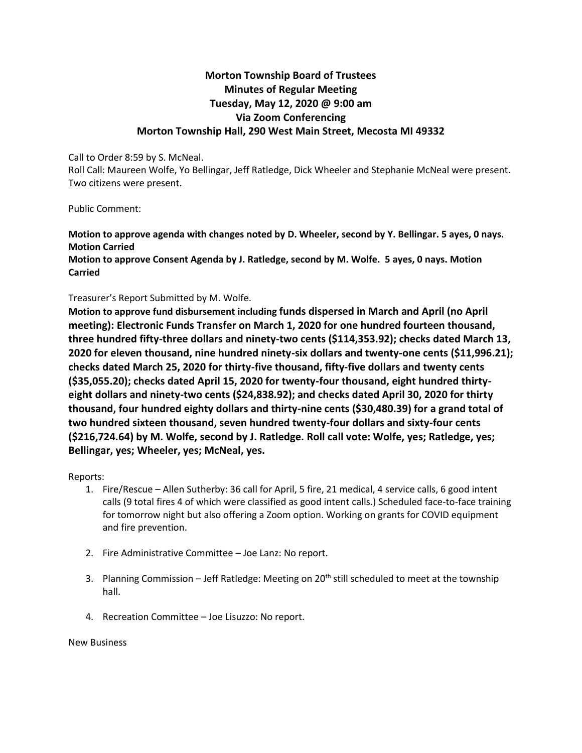## **Morton Township Board of Trustees Minutes of Regular Meeting Tuesday, May 12, 2020 @ 9:00 am Via Zoom Conferencing Morton Township Hall, 290 West Main Street, Mecosta MI 49332**

Call to Order 8:59 by S. McNeal.

Roll Call: Maureen Wolfe, Yo Bellingar, Jeff Ratledge, Dick Wheeler and Stephanie McNeal were present. Two citizens were present.

Public Comment:

**Motion to approve agenda with changes noted by D. Wheeler, second by Y. Bellingar. 5 ayes, 0 nays. Motion Carried**

**Motion to approve Consent Agenda by J. Ratledge, second by M. Wolfe. 5 ayes, 0 nays. Motion Carried**

## Treasurer's Report Submitted by M. Wolfe.

**Motion to approve fund disbursement including funds dispersed in March and April (no April meeting): Electronic Funds Transfer on March 1, 2020 for one hundred fourteen thousand, three hundred fifty-three dollars and ninety-two cents (\$114,353.92); checks dated March 13, 2020 for eleven thousand, nine hundred ninety-six dollars and twenty-one cents (\$11,996.21); checks dated March 25, 2020 for thirty-five thousand, fifty-five dollars and twenty cents (\$35,055.20); checks dated April 15, 2020 for twenty-four thousand, eight hundred thirtyeight dollars and ninety-two cents (\$24,838.92); and checks dated April 30, 2020 for thirty thousand, four hundred eighty dollars and thirty-nine cents (\$30,480.39) for a grand total of two hundred sixteen thousand, seven hundred twenty-four dollars and sixty-four cents (\$216,724.64) by M. Wolfe, second by J. Ratledge. Roll call vote: Wolfe, yes; Ratledge, yes; Bellingar, yes; Wheeler, yes; McNeal, yes.** 

Reports:

- 1. Fire/Rescue Allen Sutherby: 36 call for April, 5 fire, 21 medical, 4 service calls, 6 good intent calls (9 total fires 4 of which were classified as good intent calls.) Scheduled face-to-face training for tomorrow night but also offering a Zoom option. Working on grants for COVID equipment and fire prevention.
- 2. Fire Administrative Committee Joe Lanz: No report.
- 3. Planning Commission Jeff Ratledge: Meeting on 20<sup>th</sup> still scheduled to meet at the township hall.
- 4. Recreation Committee Joe Lisuzzo: No report.

New Business